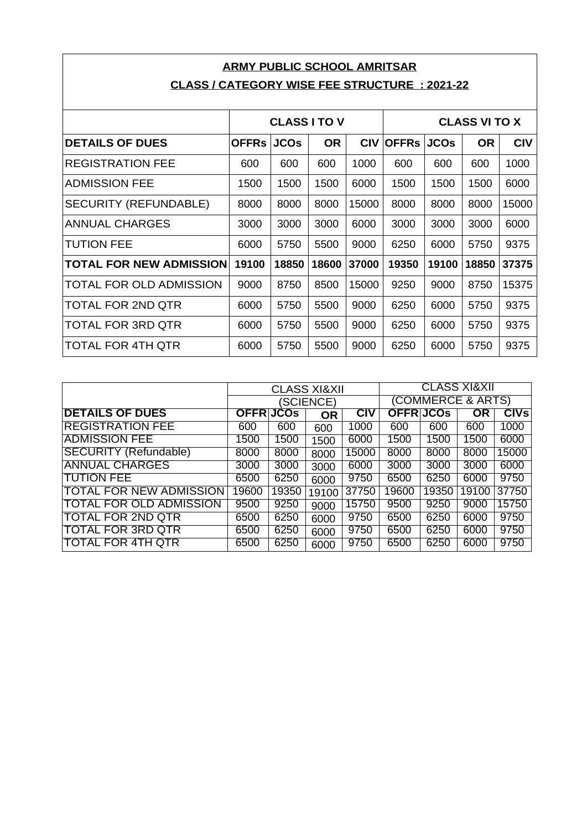## **ARMY PUBLIC SCHOOL AMRITSAR CLASS / CATEGORY WISE FEE STRUCTURE : 2021-22**

|                                | <b>CLASS I TO V</b> |             |           | <b>CLASS VI TO X</b> |              |             |           |            |
|--------------------------------|---------------------|-------------|-----------|----------------------|--------------|-------------|-----------|------------|
| <b>DETAILS OF DUES</b>         | <b>OFFRS</b>        | <b>JCOs</b> | <b>OR</b> | <b>CIV</b>           | <b>OFFRS</b> | <b>JCOs</b> | <b>OR</b> | <b>CIV</b> |
| <b>REGISTRATION FEE</b>        | 600                 | 600         | 600       | 1000                 | 600          | 600         | 600       | 1000       |
| <b>ADMISSION FEE</b>           | 1500                | 1500        | 1500      | 6000                 | 1500         | 1500        | 1500      | 6000       |
| <b>SECURITY (REFUNDABLE)</b>   | 8000                | 8000        | 8000      | 15000                | 8000         | 8000        | 8000      | 15000      |
| <b>ANNUAL CHARGES</b>          | 3000                | 3000        | 3000      | 6000                 | 3000         | 3000        | 3000      | 6000       |
| <b>TUTION FEE</b>              | 6000                | 5750        | 5500      | 9000                 | 6250         | 6000        | 5750      | 9375       |
| <b>TOTAL FOR NEW ADMISSION</b> | 19100               | 18850       | 18600     | 37000                | 19350        | 19100       | 18850     | 37375      |
| TOTAL FOR OLD ADMISSION        | 9000                | 8750        | 8500      | 15000                | 9250         | 9000        | 8750      | 15375      |
| <b>TOTAL FOR 2ND OTR</b>       | 6000                | 5750        | 5500      | 9000                 | 6250         | 6000        | 5750      | 9375       |
| <b>TOTAL FOR 3RD OTR</b>       | 6000                | 5750        | 5500      | 9000                 | 6250         | 6000        | 5750      | 9375       |
| TOTAL FOR 4TH OTR              | 6000                | 5750        | 5500      | 9000                 | 6250         | 6000        | 5750      | 9375       |

|                                | <b>CLASS XI&amp;XII</b> |       |           |            | <b>CLASS XI&amp;XII</b> |       |           |             |
|--------------------------------|-------------------------|-------|-----------|------------|-------------------------|-------|-----------|-------------|
|                                | (SCIENCE)               |       |           |            | (COMMERCE & ARTS)       |       |           |             |
| <b>DETAILS OF DUES</b>         | <b>OFFRIJCOS</b>        |       | <b>OR</b> | <b>CIV</b> | <b>OFFRIJCOS</b>        |       | <b>OR</b> | <b>CIVS</b> |
| <b>REGISTRATION FEE</b>        | 600                     | 600   | 600       | 1000       | 600                     | 600   | 600       | 1000        |
| <b>ADMISSION FEE</b>           | 1500                    | 1500  | 1500      | 6000       | 1500                    | 1500  | 1500      | 6000        |
| <b>SECURITY (Refundable)</b>   | 8000                    | 8000  | 8000      | 15000      | 8000                    | 8000  | 8000      | 15000       |
| <b>ANNUAL CHARGES</b>          | 3000                    | 3000  | 3000      | 6000       | 3000                    | 3000  | 3000      | 6000        |
| <b>TUTION FEE</b>              | 6500                    | 6250  | 6000      | 9750       | 6500                    | 6250  | 6000      | 9750        |
| <b>TOTAL FOR NEW ADMISSION</b> | 19600                   | 19350 | 19100     | 37750      | 19600                   | 19350 | 19100     | 37750       |
| <b>TOTAL FOR OLD ADMISSION</b> | 9500                    | 9250  | 9000      | 15750      | 9500                    | 9250  | 9000      | 15750       |
| <b>TOTAL FOR 2ND OTR</b>       | 6500                    | 6250  | 6000      | 9750       | 6500                    | 6250  | 6000      | 9750        |
| <b>TOTAL FOR 3RD OTR</b>       | 6500                    | 6250  | 6000      | 9750       | 6500                    | 6250  | 6000      | 9750        |
| <b>TOTAL FOR 4TH OTR</b>       | 6500                    | 6250  | 6000      | 9750       | 6500                    | 6250  | 6000      | 9750        |